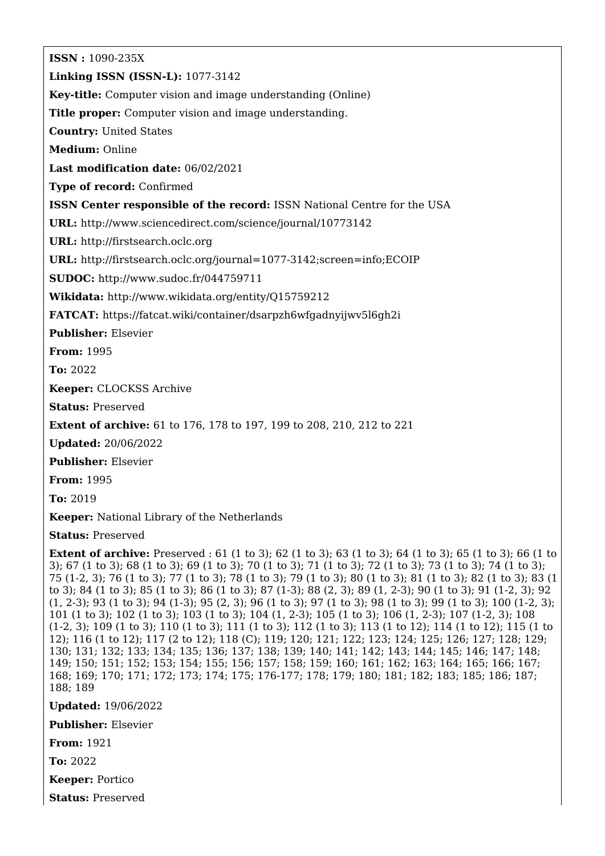**ISSN :** 1090-235X **Linking ISSN (ISSN-L):** 1077-3142 **Key-title:** Computer vision and image understanding (Online) **Title proper:** Computer vision and image understanding. **Country:** United States **Medium:** Online **Last modification date:** 06/02/2021 **Type of record:** Confirmed **ISSN Center responsible of the record:** ISSN National Centre for the USA **URL:** <http://www.sciencedirect.com/science/journal/10773142> **URL:** <http://firstsearch.oclc.org> **URL:** <http://firstsearch.oclc.org/journal=1077-3142;screen=info;ECOIP> **SUDOC:** <http://www.sudoc.fr/044759711> **Wikidata:** <http://www.wikidata.org/entity/Q15759212> **FATCAT:** <https://fatcat.wiki/container/dsarpzh6wfgadnyijwv5l6gh2i> **Publisher:** Elsevier **From:** 1995 **To:** 2022 **Keeper:** CLOCKSS Archive **Status:** Preserved **Extent of archive:** 61 to 176, 178 to 197, 199 to 208, 210, 212 to 221 **Updated:** 20/06/2022

**Publisher:** Elsevier

**From:** 1995

**To:** 2019

**Keeper:** National Library of the Netherlands

**Status:** Preserved

**Extent of archive:** Preserved : 61 (1 to 3); 62 (1 to 3); 63 (1 to 3); 64 (1 to 3); 65 (1 to 3); 66 (1 to 3); 67 (1 to 3); 68 (1 to 3); 69 (1 to 3); 70 (1 to 3); 71 (1 to 3); 72 (1 to 3); 73 (1 to 3); 74 (1 to 3); 75 (1-2, 3); 76 (1 to 3); 77 (1 to 3); 78 (1 to 3); 79 (1 to 3); 80 (1 to 3); 81 (1 to 3); 82 (1 to 3); 83 (1 to 3); 84 (1 to 3); 85 (1 to 3); 86 (1 to 3); 87 (1-3); 88 (2, 3); 89 (1, 2-3); 90 (1 to 3); 91 (1-2, 3); 92 (1, 2-3); 93 (1 to 3); 94 (1-3); 95 (2, 3); 96 (1 to 3); 97 (1 to 3); 98 (1 to 3); 99 (1 to 3); 100 (1-2, 3); 101 (1 to 3); 102 (1 to 3); 103 (1 to 3); 104 (1, 2-3); 105 (1 to 3); 106 (1, 2-3); 107 (1-2, 3); 108 (1-2, 3); 109 (1 to 3); 110 (1 to 3); 111 (1 to 3); 112 (1 to 3); 113 (1 to 12); 114 (1 to 12); 115 (1 to 12); 116 (1 to 12); 117 (2 to 12); 118 (C); 119; 120; 121; 122; 123; 124; 125; 126; 127; 128; 129; 130; 131; 132; 133; 134; 135; 136; 137; 138; 139; 140; 141; 142; 143; 144; 145; 146; 147; 148; 149; 150; 151; 152; 153; 154; 155; 156; 157; 158; 159; 160; 161; 162; 163; 164; 165; 166; 167; 168; 169; 170; 171; 172; 173; 174; 175; 176-177; 178; 179; 180; 181; 182; 183; 185; 186; 187; 188; 189

**Updated:** 19/06/2022

**Publisher:** Elsevier

**From:** 1921

**To:** 2022

**Keeper:** Portico

**Status:** Preserved